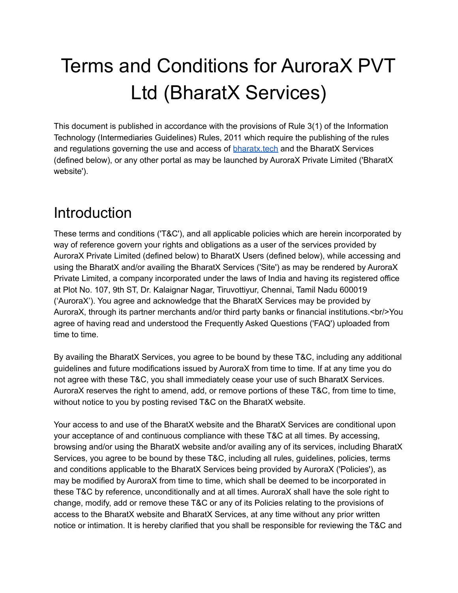# Terms and Conditions for AuroraX PVT Ltd (BharatX Services)

This document is published in accordance with the provisions of Rule 3(1) of the Information Technology (Intermediaries Guidelines) Rules, 2011 which require the publishing of the rules and regulations governing the use and access of **bharatx** tech and the BharatX Services (defined below), or any other portal as may be launched by AuroraX Private Limited ('BharatX website').

## Introduction

These terms and conditions ('T&C'), and all applicable policies which are herein incorporated by way of reference govern your rights and obligations as a user of the services provided by AuroraX Private Limited (defined below) to BharatX Users (defined below), while accessing and using the BharatX and/or availing the BharatX Services ('Site') as may be rendered by AuroraX Private Limited, a company incorporated under the laws of India and having its registered office at Plot No. 107, 9th ST, Dr. Kalaignar Nagar, Tiruvottiyur, Chennai, Tamil Nadu 600019 ('AuroraX'). You agree and acknowledge that the BharatX Services may be provided by AuroraX, through its partner merchants and/or third party banks or financial institutions.<br/>You agree of having read and understood the Frequently Asked Questions ('FAQ') uploaded from time to time.

By availing the BharatX Services, you agree to be bound by these T&C, including any additional guidelines and future modifications issued by AuroraX from time to time. If at any time you do not agree with these T&C, you shall immediately cease your use of such BharatX Services. AuroraX reserves the right to amend, add, or remove portions of these T&C, from time to time, without notice to you by posting revised T&C on the BharatX website.

Your access to and use of the BharatX website and the BharatX Services are conditional upon your acceptance of and continuous compliance with these T&C at all times. By accessing, browsing and/or using the BharatX website and/or availing any of its services, including BharatX Services, you agree to be bound by these T&C, including all rules, guidelines, policies, terms and conditions applicable to the BharatX Services being provided by AuroraX ('Policies'), as may be modified by AuroraX from time to time, which shall be deemed to be incorporated in these T&C by reference, unconditionally and at all times. AuroraX shall have the sole right to change, modify, add or remove these T&C or any of its Policies relating to the provisions of access to the BharatX website and BharatX Services, at any time without any prior written notice or intimation. It is hereby clarified that you shall be responsible for reviewing the T&C and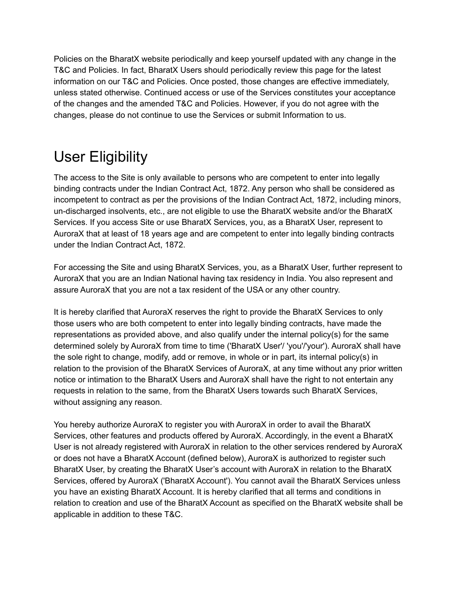Policies on the BharatX website periodically and keep yourself updated with any change in the T&C and Policies. In fact, BharatX Users should periodically review this page for the latest information on our T&C and Policies. Once posted, those changes are effective immediately, unless stated otherwise. Continued access or use of the Services constitutes your acceptance of the changes and the amended T&C and Policies. However, if you do not agree with the changes, please do not continue to use the Services or submit Information to us.

## User Eligibility

The access to the Site is only available to persons who are competent to enter into legally binding contracts under the Indian Contract Act, 1872. Any person who shall be considered as incompetent to contract as per the provisions of the Indian Contract Act, 1872, including minors, un-discharged insolvents, etc., are not eligible to use the BharatX website and/or the BharatX Services. If you access Site or use BharatX Services, you, as a BharatX User, represent to AuroraX that at least of 18 years age and are competent to enter into legally binding contracts under the Indian Contract Act, 1872.

For accessing the Site and using BharatX Services, you, as a BharatX User, further represent to AuroraX that you are an Indian National having tax residency in India. You also represent and assure AuroraX that you are not a tax resident of the USA or any other country.

It is hereby clarified that AuroraX reserves the right to provide the BharatX Services to only those users who are both competent to enter into legally binding contracts, have made the representations as provided above, and also qualify under the internal policy(s) for the same determined solely by AuroraX from time to time ('BharatX User'/ 'you'/'your'). AuroraX shall have the sole right to change, modify, add or remove, in whole or in part, its internal policy(s) in relation to the provision of the BharatX Services of AuroraX, at any time without any prior written notice or intimation to the BharatX Users and AuroraX shall have the right to not entertain any requests in relation to the same, from the BharatX Users towards such BharatX Services, without assigning any reason.

You hereby authorize AuroraX to register you with AuroraX in order to avail the BharatX Services, other features and products offered by AuroraX. Accordingly, in the event a BharatX User is not already registered with AuroraX in relation to the other services rendered by AuroraX or does not have a BharatX Account (defined below), AuroraX is authorized to register such BharatX User, by creating the BharatX User's account with AuroraX in relation to the BharatX Services, offered by AuroraX ('BharatX Account'). You cannot avail the BharatX Services unless you have an existing BharatX Account. It is hereby clarified that all terms and conditions in relation to creation and use of the BharatX Account as specified on the BharatX website shall be applicable in addition to these T&C.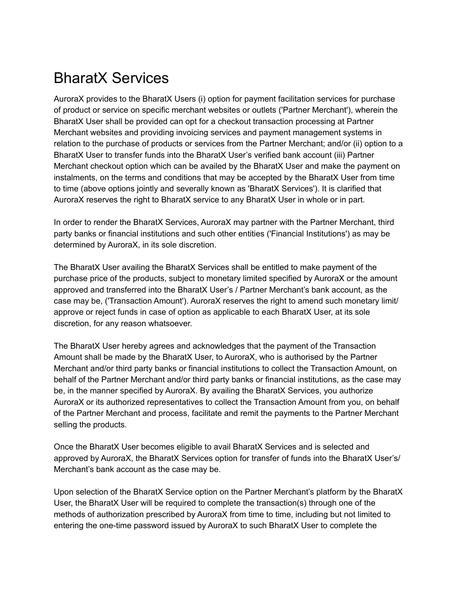## BharatX Services

AuroraX provides to the BharatX Users (i) option for payment facilitation services for purchase of product or service on specific merchant websites or outlets ('Partner Merchant'), wherein the BharatX User shall be provided can opt for a checkout transaction processing at Partner Merchant websites and providing invoicing services and payment management systems in relation to the purchase of products or services from the Partner Merchant; and/or (ii) option to a BharatX User to transfer funds into the BharatX User's verified bank account (iii) Partner Merchant checkout option which can be availed by the BharatX User and make the payment on instalments, on the terms and conditions that may be accepted by the BharatX User from time to time (above options jointly and severally known as 'BharatX Services'). It is clarified that AuroraX reserves the right to BharatX service to any BharatX User in whole or in part.

In order to render the BharatX Services, AuroraX may partner with the Partner Merchant, third party banks or financial institutions and such other entities ('Financial Institutions') as may be determined by AuroraX, in its sole discretion.

The BharatX User availing the BharatX Services shall be entitled to make payment of the purchase price of the products, subject to monetary limited specified by AuroraX or the amount approved and transferred into the BharatX User's / Partner Merchant's bank account, as the case may be, ('Transaction Amount'). AuroraX reserves the right to amend such monetary limit/ approve or reject funds in case of option as applicable to each BharatX User, at its sole discretion, for any reason whatsoever.

The BharatX User hereby agrees and acknowledges that the payment of the Transaction Amount shall be made by the BharatX User, to AuroraX, who is authorised by the Partner Merchant and/or third party banks or financial institutions to collect the Transaction Amount, on behalf of the Partner Merchant and/or third party banks or financial institutions, as the case may be, in the manner specified by AuroraX. By availing the BharatX Services, you authorize AuroraX or its authorized representatives to collect the Transaction Amount from you, on behalf of the Partner Merchant and process, facilitate and remit the payments to the Partner Merchant selling the products.

Once the BharatX User becomes eligible to avail BharatX Services and is selected and approved by AuroraX, the BharatX Services option for transfer of funds into the BharatX User's/ Merchant's bank account as the case may be.

Upon selection of the BharatX Service option on the Partner Merchant's platform by the BharatX User, the BharatX User will be required to complete the transaction(s) through one of the methods of authorization prescribed by AuroraX from time to time, including but not limited to entering the one-time password issued by AuroraX to such BharatX User to complete the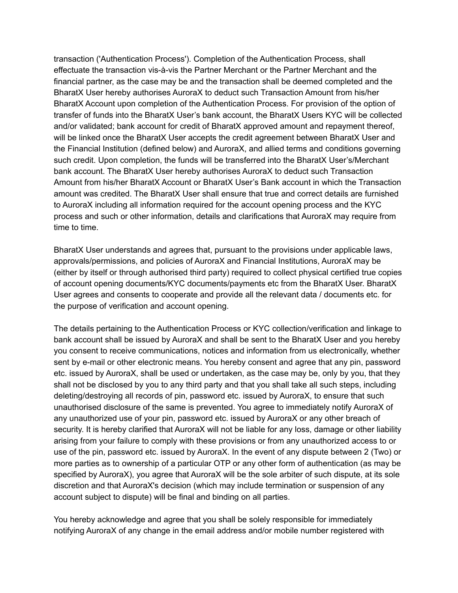transaction ('Authentication Process'). Completion of the Authentication Process, shall effectuate the transaction vis-à-vis the Partner Merchant or the Partner Merchant and the financial partner, as the case may be and the transaction shall be deemed completed and the BharatX User hereby authorises AuroraX to deduct such Transaction Amount from his/her BharatX Account upon completion of the Authentication Process. For provision of the option of transfer of funds into the BharatX User's bank account, the BharatX Users KYC will be collected and/or validated; bank account for credit of BharatX approved amount and repayment thereof, will be linked once the BharatX User accepts the credit agreement between BharatX User and the Financial Institution (defined below) and AuroraX, and allied terms and conditions governing such credit. Upon completion, the funds will be transferred into the BharatX User's/Merchant bank account. The BharatX User hereby authorises AuroraX to deduct such Transaction Amount from his/her BharatX Account or BharatX User's Bank account in which the Transaction amount was credited. The BharatX User shall ensure that true and correct details are furnished to AuroraX including all information required for the account opening process and the KYC process and such or other information, details and clarifications that AuroraX may require from time to time.

BharatX User understands and agrees that, pursuant to the provisions under applicable laws, approvals/permissions, and policies of AuroraX and Financial Institutions, AuroraX may be (either by itself or through authorised third party) required to collect physical certified true copies of account opening documents/KYC documents/payments etc from the BharatX User. BharatX User agrees and consents to cooperate and provide all the relevant data / documents etc. for the purpose of verification and account opening.

The details pertaining to the Authentication Process or KYC collection/verification and linkage to bank account shall be issued by AuroraX and shall be sent to the BharatX User and you hereby you consent to receive communications, notices and information from us electronically, whether sent by e-mail or other electronic means. You hereby consent and agree that any pin, password etc. issued by AuroraX, shall be used or undertaken, as the case may be, only by you, that they shall not be disclosed by you to any third party and that you shall take all such steps, including deleting/destroying all records of pin, password etc. issued by AuroraX, to ensure that such unauthorised disclosure of the same is prevented. You agree to immediately notify AuroraX of any unauthorized use of your pin, password etc. issued by AuroraX or any other breach of security. It is hereby clarified that AuroraX will not be liable for any loss, damage or other liability arising from your failure to comply with these provisions or from any unauthorized access to or use of the pin, password etc. issued by AuroraX. In the event of any dispute between 2 (Two) or more parties as to ownership of a particular OTP or any other form of authentication (as may be specified by AuroraX), you agree that AuroraX will be the sole arbiter of such dispute, at its sole discretion and that AuroraX's decision (which may include termination or suspension of any account subject to dispute) will be final and binding on all parties.

You hereby acknowledge and agree that you shall be solely responsible for immediately notifying AuroraX of any change in the email address and/or mobile number registered with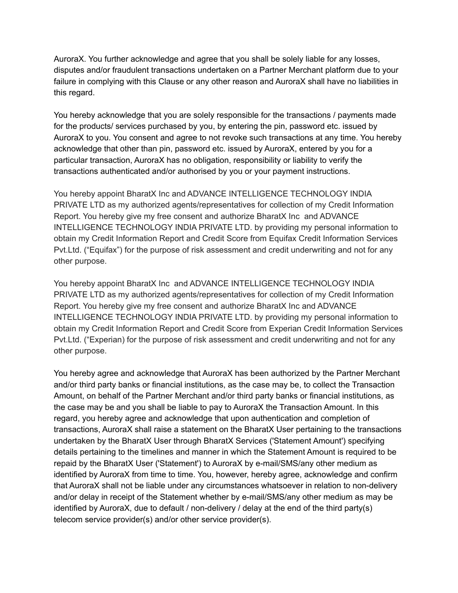AuroraX. You further acknowledge and agree that you shall be solely liable for any losses, disputes and/or fraudulent transactions undertaken on a Partner Merchant platform due to your failure in complying with this Clause or any other reason and AuroraX shall have no liabilities in this regard.

You hereby acknowledge that you are solely responsible for the transactions / payments made for the products/ services purchased by you, by entering the pin, password etc. issued by AuroraX to you. You consent and agree to not revoke such transactions at any time. You hereby acknowledge that other than pin, password etc. issued by AuroraX, entered by you for a particular transaction, AuroraX has no obligation, responsibility or liability to verify the transactions authenticated and/or authorised by you or your payment instructions.

You hereby appoint BharatX Inc and ADVANCE INTELLIGENCE TECHNOLOGY INDIA PRIVATE LTD as my authorized agents/representatives for collection of my Credit Information Report. You hereby give my free consent and authorize BharatX Inc and ADVANCE INTELLIGENCE TECHNOLOGY INDIA PRIVATE LTD. by providing my personal information to obtain my Credit Information Report and Credit Score from Equifax Credit Information Services Pvt.Ltd. ("Equifax") for the purpose of risk assessment and credit underwriting and not for any other purpose.

You hereby appoint BharatX Inc and ADVANCE INTELLIGENCE TECHNOLOGY INDIA PRIVATE LTD as my authorized agents/representatives for collection of my Credit Information Report. You hereby give my free consent and authorize BharatX Inc and ADVANCE INTELLIGENCE TECHNOLOGY INDIA PRIVATE LTD. by providing my personal information to obtain my Credit Information Report and Credit Score from Experian Credit Information Services Pvt.Ltd. ("Experian) for the purpose of risk assessment and credit underwriting and not for any other purpose.

You hereby agree and acknowledge that AuroraX has been authorized by the Partner Merchant and/or third party banks or financial institutions, as the case may be, to collect the Transaction Amount, on behalf of the Partner Merchant and/or third party banks or financial institutions, as the case may be and you shall be liable to pay to AuroraX the Transaction Amount. In this regard, you hereby agree and acknowledge that upon authentication and completion of transactions, AuroraX shall raise a statement on the BharatX User pertaining to the transactions undertaken by the BharatX User through BharatX Services ('Statement Amount') specifying details pertaining to the timelines and manner in which the Statement Amount is required to be repaid by the BharatX User ('Statement') to AuroraX by e-mail/SMS/any other medium as identified by AuroraX from time to time. You, however, hereby agree, acknowledge and confirm that AuroraX shall not be liable under any circumstances whatsoever in relation to non-delivery and/or delay in receipt of the Statement whether by e-mail/SMS/any other medium as may be identified by AuroraX, due to default / non-delivery / delay at the end of the third party(s) telecom service provider(s) and/or other service provider(s).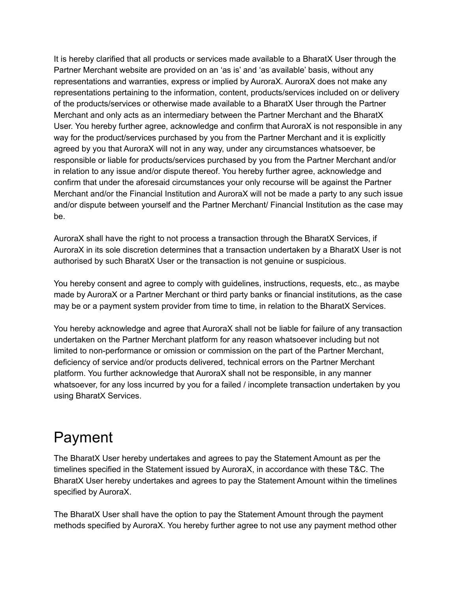It is hereby clarified that all products or services made available to a BharatX User through the Partner Merchant website are provided on an 'as is' and 'as available' basis, without any representations and warranties, express or implied by AuroraX. AuroraX does not make any representations pertaining to the information, content, products/services included on or delivery of the products/services or otherwise made available to a BharatX User through the Partner Merchant and only acts as an intermediary between the Partner Merchant and the BharatX User. You hereby further agree, acknowledge and confirm that AuroraX is not responsible in any way for the product/services purchased by you from the Partner Merchant and it is explicitly agreed by you that AuroraX will not in any way, under any circumstances whatsoever, be responsible or liable for products/services purchased by you from the Partner Merchant and/or in relation to any issue and/or dispute thereof. You hereby further agree, acknowledge and confirm that under the aforesaid circumstances your only recourse will be against the Partner Merchant and/or the Financial Institution and AuroraX will not be made a party to any such issue and/or dispute between yourself and the Partner Merchant/ Financial Institution as the case may be.

AuroraX shall have the right to not process a transaction through the BharatX Services, if AuroraX in its sole discretion determines that a transaction undertaken by a BharatX User is not authorised by such BharatX User or the transaction is not genuine or suspicious.

You hereby consent and agree to comply with guidelines, instructions, requests, etc., as maybe made by AuroraX or a Partner Merchant or third party banks or financial institutions, as the case may be or a payment system provider from time to time, in relation to the BharatX Services.

You hereby acknowledge and agree that AuroraX shall not be liable for failure of any transaction undertaken on the Partner Merchant platform for any reason whatsoever including but not limited to non-performance or omission or commission on the part of the Partner Merchant, deficiency of service and/or products delivered, technical errors on the Partner Merchant platform. You further acknowledge that AuroraX shall not be responsible, in any manner whatsoever, for any loss incurred by you for a failed / incomplete transaction undertaken by you using BharatX Services.

#### Payment

The BharatX User hereby undertakes and agrees to pay the Statement Amount as per the timelines specified in the Statement issued by AuroraX, in accordance with these T&C. The BharatX User hereby undertakes and agrees to pay the Statement Amount within the timelines specified by AuroraX.

The BharatX User shall have the option to pay the Statement Amount through the payment methods specified by AuroraX. You hereby further agree to not use any payment method other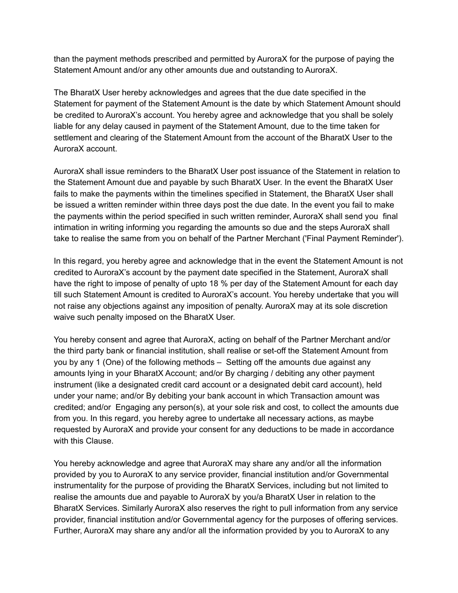than the payment methods prescribed and permitted by AuroraX for the purpose of paying the Statement Amount and/or any other amounts due and outstanding to AuroraX.

The BharatX User hereby acknowledges and agrees that the due date specified in the Statement for payment of the Statement Amount is the date by which Statement Amount should be credited to AuroraX's account. You hereby agree and acknowledge that you shall be solely liable for any delay caused in payment of the Statement Amount, due to the time taken for settlement and clearing of the Statement Amount from the account of the BharatX User to the AuroraX account.

AuroraX shall issue reminders to the BharatX User post issuance of the Statement in relation to the Statement Amount due and payable by such BharatX User. In the event the BharatX User fails to make the payments within the timelines specified in Statement, the BharatX User shall be issued a written reminder within three days post the due date. In the event you fail to make the payments within the period specified in such written reminder, AuroraX shall send you final intimation in writing informing you regarding the amounts so due and the steps AuroraX shall take to realise the same from you on behalf of the Partner Merchant ('Final Payment Reminder').

In this regard, you hereby agree and acknowledge that in the event the Statement Amount is not credited to AuroraX's account by the payment date specified in the Statement, AuroraX shall have the right to impose of penalty of upto 18 % per day of the Statement Amount for each day till such Statement Amount is credited to AuroraX's account. You hereby undertake that you will not raise any objections against any imposition of penalty. AuroraX may at its sole discretion waive such penalty imposed on the BharatX User.

You hereby consent and agree that AuroraX, acting on behalf of the Partner Merchant and/or the third party bank or financial institution, shall realise or set-off the Statement Amount from you by any 1 (One) of the following methods – Setting off the amounts due against any amounts lying in your BharatX Account; and/or By charging / debiting any other payment instrument (like a designated credit card account or a designated debit card account), held under your name; and/or By debiting your bank account in which Transaction amount was credited; and/or Engaging any person(s), at your sole risk and cost, to collect the amounts due from you. In this regard, you hereby agree to undertake all necessary actions, as maybe requested by AuroraX and provide your consent for any deductions to be made in accordance with this Clause.

You hereby acknowledge and agree that AuroraX may share any and/or all the information provided by you to AuroraX to any service provider, financial institution and/or Governmental instrumentality for the purpose of providing the BharatX Services, including but not limited to realise the amounts due and payable to AuroraX by you/a BharatX User in relation to the BharatX Services. Similarly AuroraX also reserves the right to pull information from any service provider, financial institution and/or Governmental agency for the purposes of offering services. Further, AuroraX may share any and/or all the information provided by you to AuroraX to any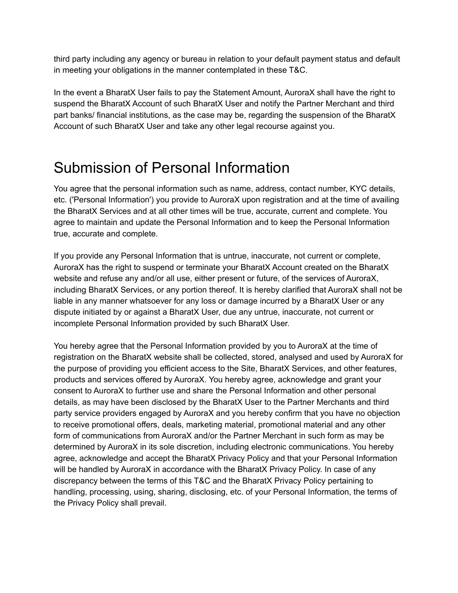third party including any agency or bureau in relation to your default payment status and default in meeting your obligations in the manner contemplated in these T&C.

In the event a BharatX User fails to pay the Statement Amount, AuroraX shall have the right to suspend the BharatX Account of such BharatX User and notify the Partner Merchant and third part banks/ financial institutions, as the case may be, regarding the suspension of the BharatX Account of such BharatX User and take any other legal recourse against you.

#### Submission of Personal Information

You agree that the personal information such as name, address, contact number, KYC details, etc. ('Personal Information') you provide to AuroraX upon registration and at the time of availing the BharatX Services and at all other times will be true, accurate, current and complete. You agree to maintain and update the Personal Information and to keep the Personal Information true, accurate and complete.

If you provide any Personal Information that is untrue, inaccurate, not current or complete, AuroraX has the right to suspend or terminate your BharatX Account created on the BharatX website and refuse any and/or all use, either present or future, of the services of AuroraX, including BharatX Services, or any portion thereof. It is hereby clarified that AuroraX shall not be liable in any manner whatsoever for any loss or damage incurred by a BharatX User or any dispute initiated by or against a BharatX User, due any untrue, inaccurate, not current or incomplete Personal Information provided by such BharatX User.

You hereby agree that the Personal Information provided by you to AuroraX at the time of registration on the BharatX website shall be collected, stored, analysed and used by AuroraX for the purpose of providing you efficient access to the Site, BharatX Services, and other features, products and services offered by AuroraX. You hereby agree, acknowledge and grant your consent to AuroraX to further use and share the Personal Information and other personal details, as may have been disclosed by the BharatX User to the Partner Merchants and third party service providers engaged by AuroraX and you hereby confirm that you have no objection to receive promotional offers, deals, marketing material, promotional material and any other form of communications from AuroraX and/or the Partner Merchant in such form as may be determined by AuroraX in its sole discretion, including electronic communications. You hereby agree, acknowledge and accept the BharatX Privacy Policy and that your Personal Information will be handled by AuroraX in accordance with the BharatX Privacy Policy. In case of any discrepancy between the terms of this T&C and the BharatX Privacy Policy pertaining to handling, processing, using, sharing, disclosing, etc. of your Personal Information, the terms of the Privacy Policy shall prevail.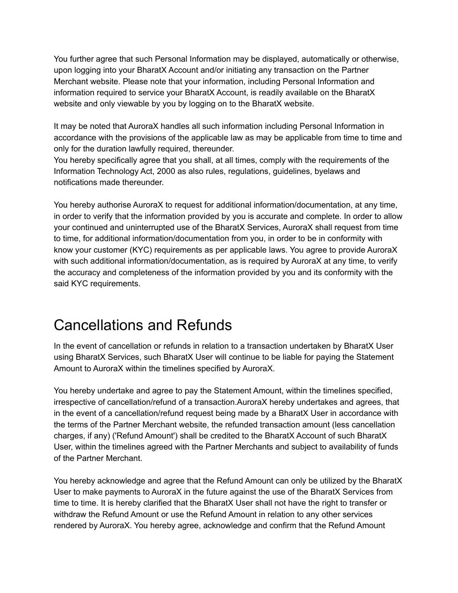You further agree that such Personal Information may be displayed, automatically or otherwise, upon logging into your BharatX Account and/or initiating any transaction on the Partner Merchant website. Please note that your information, including Personal Information and information required to service your BharatX Account, is readily available on the BharatX website and only viewable by you by logging on to the BharatX website.

It may be noted that AuroraX handles all such information including Personal Information in accordance with the provisions of the applicable law as may be applicable from time to time and only for the duration lawfully required, thereunder.

You hereby specifically agree that you shall, at all times, comply with the requirements of the Information Technology Act, 2000 as also rules, regulations, guidelines, byelaws and notifications made thereunder.

You hereby authorise AuroraX to request for additional information/documentation, at any time, in order to verify that the information provided by you is accurate and complete. In order to allow your continued and uninterrupted use of the BharatX Services, AuroraX shall request from time to time, for additional information/documentation from you, in order to be in conformity with know your customer (KYC) requirements as per applicable laws. You agree to provide AuroraX with such additional information/documentation, as is required by AuroraX at any time, to verify the accuracy and completeness of the information provided by you and its conformity with the said KYC requirements.

#### Cancellations and Refunds

In the event of cancellation or refunds in relation to a transaction undertaken by BharatX User using BharatX Services, such BharatX User will continue to be liable for paying the Statement Amount to AuroraX within the timelines specified by AuroraX.

You hereby undertake and agree to pay the Statement Amount, within the timelines specified, irrespective of cancellation/refund of a transaction.AuroraX hereby undertakes and agrees, that in the event of a cancellation/refund request being made by a BharatX User in accordance with the terms of the Partner Merchant website, the refunded transaction amount (less cancellation charges, if any) ('Refund Amount') shall be credited to the BharatX Account of such BharatX User, within the timelines agreed with the Partner Merchants and subject to availability of funds of the Partner Merchant.

You hereby acknowledge and agree that the Refund Amount can only be utilized by the BharatX User to make payments to AuroraX in the future against the use of the BharatX Services from time to time. It is hereby clarified that the BharatX User shall not have the right to transfer or withdraw the Refund Amount or use the Refund Amount in relation to any other services rendered by AuroraX. You hereby agree, acknowledge and confirm that the Refund Amount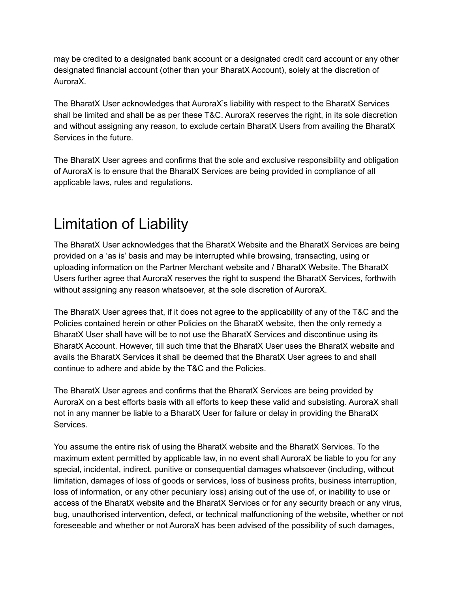may be credited to a designated bank account or a designated credit card account or any other designated financial account (other than your BharatX Account), solely at the discretion of AuroraX.

The BharatX User acknowledges that AuroraX's liability with respect to the BharatX Services shall be limited and shall be as per these T&C. AuroraX reserves the right, in its sole discretion and without assigning any reason, to exclude certain BharatX Users from availing the BharatX Services in the future.

The BharatX User agrees and confirms that the sole and exclusive responsibility and obligation of AuroraX is to ensure that the BharatX Services are being provided in compliance of all applicable laws, rules and regulations.

## Limitation of Liability

The BharatX User acknowledges that the BharatX Website and the BharatX Services are being provided on a 'as is' basis and may be interrupted while browsing, transacting, using or uploading information on the Partner Merchant website and / BharatX Website. The BharatX Users further agree that AuroraX reserves the right to suspend the BharatX Services, forthwith without assigning any reason whatsoever, at the sole discretion of AuroraX.

The BharatX User agrees that, if it does not agree to the applicability of any of the T&C and the Policies contained herein or other Policies on the BharatX website, then the only remedy a BharatX User shall have will be to not use the BharatX Services and discontinue using its BharatX Account. However, till such time that the BharatX User uses the BharatX website and avails the BharatX Services it shall be deemed that the BharatX User agrees to and shall continue to adhere and abide by the T&C and the Policies.

The BharatX User agrees and confirms that the BharatX Services are being provided by AuroraX on a best efforts basis with all efforts to keep these valid and subsisting. AuroraX shall not in any manner be liable to a BharatX User for failure or delay in providing the BharatX Services.

You assume the entire risk of using the BharatX website and the BharatX Services. To the maximum extent permitted by applicable law, in no event shall AuroraX be liable to you for any special, incidental, indirect, punitive or consequential damages whatsoever (including, without limitation, damages of loss of goods or services, loss of business profits, business interruption, loss of information, or any other pecuniary loss) arising out of the use of, or inability to use or access of the BharatX website and the BharatX Services or for any security breach or any virus, bug, unauthorised intervention, defect, or technical malfunctioning of the website, whether or not foreseeable and whether or not AuroraX has been advised of the possibility of such damages,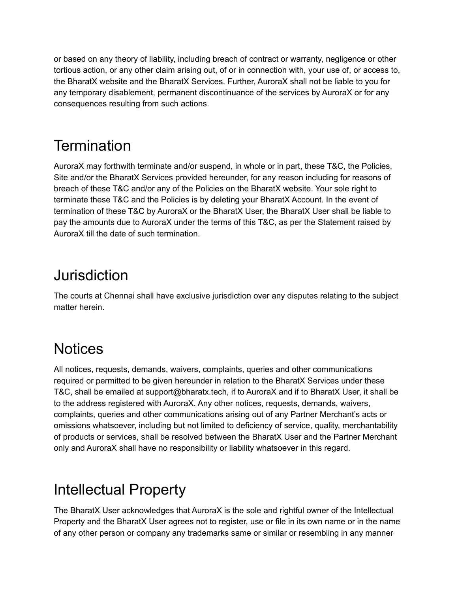or based on any theory of liability, including breach of contract or warranty, negligence or other tortious action, or any other claim arising out, of or in connection with, your use of, or access to, the BharatX website and the BharatX Services. Further, AuroraX shall not be liable to you for any temporary disablement, permanent discontinuance of the services by AuroraX or for any consequences resulting from such actions.

## **Termination**

AuroraX may forthwith terminate and/or suspend, in whole or in part, these T&C, the Policies, Site and/or the BharatX Services provided hereunder, for any reason including for reasons of breach of these T&C and/or any of the Policies on the BharatX website. Your sole right to terminate these T&C and the Policies is by deleting your BharatX Account. In the event of termination of these T&C by AuroraX or the BharatX User, the BharatX User shall be liable to pay the amounts due to AuroraX under the terms of this T&C, as per the Statement raised by AuroraX till the date of such termination.

## **Jurisdiction**

The courts at Chennai shall have exclusive jurisdiction over any disputes relating to the subject matter herein.

## **Notices**

All notices, requests, demands, waivers, complaints, queries and other communications required or permitted to be given hereunder in relation to the BharatX Services under these T&C, shall be emailed at support@bharatx.tech, if to AuroraX and if to BharatX User, it shall be to the address registered with AuroraX. Any other notices, requests, demands, waivers, complaints, queries and other communications arising out of any Partner Merchant's acts or omissions whatsoever, including but not limited to deficiency of service, quality, merchantability of products or services, shall be resolved between the BharatX User and the Partner Merchant only and AuroraX shall have no responsibility or liability whatsoever in this regard.

## Intellectual Property

The BharatX User acknowledges that AuroraX is the sole and rightful owner of the Intellectual Property and the BharatX User agrees not to register, use or file in its own name or in the name of any other person or company any trademarks same or similar or resembling in any manner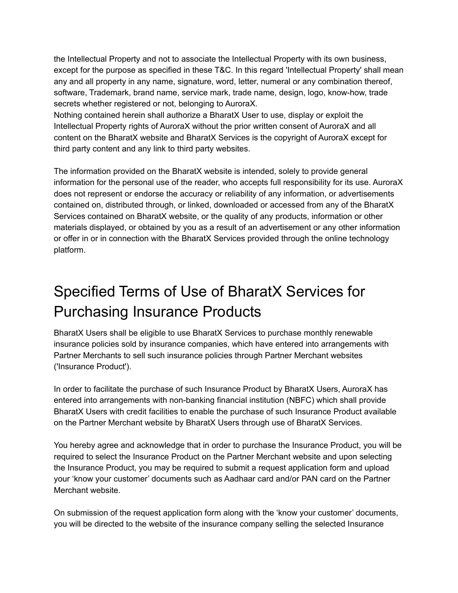the Intellectual Property and not to associate the Intellectual Property with its own business, except for the purpose as specified in these T&C. In this regard 'Intellectual Property' shall mean any and all property in any name, signature, word, letter, numeral or any combination thereof, software, Trademark, brand name, service mark, trade name, design, logo, know-how, trade secrets whether registered or not, belonging to AuroraX.

Nothing contained herein shall authorize a BharatX User to use, display or exploit the Intellectual Property rights of AuroraX without the prior written consent of AuroraX and all content on the BharatX website and BharatX Services is the copyright of AuroraX except for third party content and any link to third party websites.

The information provided on the BharatX website is intended, solely to provide general information for the personal use of the reader, who accepts full responsibility for its use. AuroraX does not represent or endorse the accuracy or reliability of any information, or advertisements contained on, distributed through, or linked, downloaded or accessed from any of the BharatX Services contained on BharatX website, or the quality of any products, information or other materials displayed, or obtained by you as a result of an advertisement or any other information or offer in or in connection with the BharatX Services provided through the online technology platform.

## Specified Terms of Use of BharatX Services for Purchasing Insurance Products

BharatX Users shall be eligible to use BharatX Services to purchase monthly renewable insurance policies sold by insurance companies, which have entered into arrangements with Partner Merchants to sell such insurance policies through Partner Merchant websites ('Insurance Product').

In order to facilitate the purchase of such Insurance Product by BharatX Users, AuroraX has entered into arrangements with non-banking financial institution (NBFC) which shall provide BharatX Users with credit facilities to enable the purchase of such Insurance Product available on the Partner Merchant website by BharatX Users through use of BharatX Services.

You hereby agree and acknowledge that in order to purchase the Insurance Product, you will be required to select the Insurance Product on the Partner Merchant website and upon selecting the Insurance Product, you may be required to submit a request application form and upload your 'know your customer' documents such as Aadhaar card and/or PAN card on the Partner Merchant website.

On submission of the request application form along with the 'know your customer' documents, you will be directed to the website of the insurance company selling the selected Insurance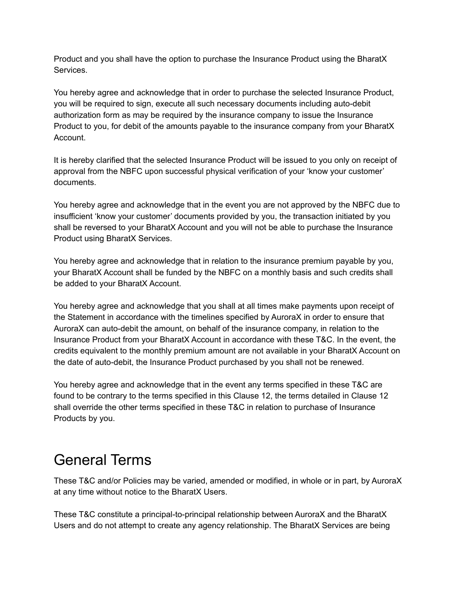Product and you shall have the option to purchase the Insurance Product using the BharatX Services.

You hereby agree and acknowledge that in order to purchase the selected Insurance Product, you will be required to sign, execute all such necessary documents including auto-debit authorization form as may be required by the insurance company to issue the Insurance Product to you, for debit of the amounts payable to the insurance company from your BharatX Account.

It is hereby clarified that the selected Insurance Product will be issued to you only on receipt of approval from the NBFC upon successful physical verification of your 'know your customer' documents.

You hereby agree and acknowledge that in the event you are not approved by the NBFC due to insufficient 'know your customer' documents provided by you, the transaction initiated by you shall be reversed to your BharatX Account and you will not be able to purchase the Insurance Product using BharatX Services.

You hereby agree and acknowledge that in relation to the insurance premium payable by you, your BharatX Account shall be funded by the NBFC on a monthly basis and such credits shall be added to your BharatX Account.

You hereby agree and acknowledge that you shall at all times make payments upon receipt of the Statement in accordance with the timelines specified by AuroraX in order to ensure that AuroraX can auto-debit the amount, on behalf of the insurance company, in relation to the Insurance Product from your BharatX Account in accordance with these T&C. In the event, the credits equivalent to the monthly premium amount are not available in your BharatX Account on the date of auto-debit, the Insurance Product purchased by you shall not be renewed.

You hereby agree and acknowledge that in the event any terms specified in these T&C are found to be contrary to the terms specified in this Clause 12, the terms detailed in Clause 12 shall override the other terms specified in these T&C in relation to purchase of Insurance Products by you.

#### General Terms

These T&C and/or Policies may be varied, amended or modified, in whole or in part, by AuroraX at any time without notice to the BharatX Users.

These T&C constitute a principal-to-principal relationship between AuroraX and the BharatX Users and do not attempt to create any agency relationship. The BharatX Services are being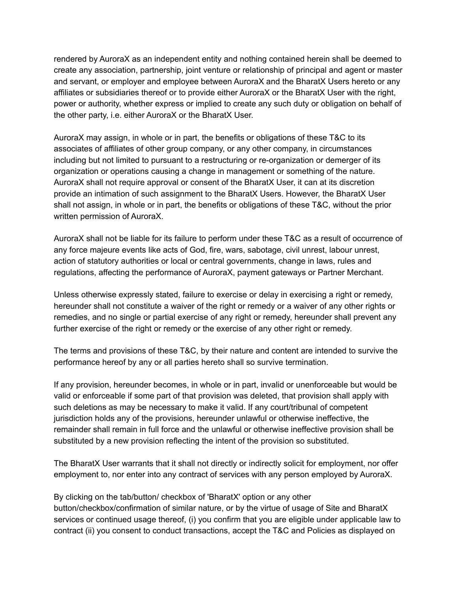rendered by AuroraX as an independent entity and nothing contained herein shall be deemed to create any association, partnership, joint venture or relationship of principal and agent or master and servant, or employer and employee between AuroraX and the BharatX Users hereto or any affiliates or subsidiaries thereof or to provide either AuroraX or the BharatX User with the right, power or authority, whether express or implied to create any such duty or obligation on behalf of the other party, i.e. either AuroraX or the BharatX User.

AuroraX may assign, in whole or in part, the benefits or obligations of these T&C to its associates of affiliates of other group company, or any other company, in circumstances including but not limited to pursuant to a restructuring or re-organization or demerger of its organization or operations causing a change in management or something of the nature. AuroraX shall not require approval or consent of the BharatX User, it can at its discretion provide an intimation of such assignment to the BharatX Users. However, the BharatX User shall not assign, in whole or in part, the benefits or obligations of these T&C, without the prior written permission of AuroraX.

AuroraX shall not be liable for its failure to perform under these T&C as a result of occurrence of any force majeure events like acts of God, fire, wars, sabotage, civil unrest, labour unrest, action of statutory authorities or local or central governments, change in laws, rules and regulations, affecting the performance of AuroraX, payment gateways or Partner Merchant.

Unless otherwise expressly stated, failure to exercise or delay in exercising a right or remedy, hereunder shall not constitute a waiver of the right or remedy or a waiver of any other rights or remedies, and no single or partial exercise of any right or remedy, hereunder shall prevent any further exercise of the right or remedy or the exercise of any other right or remedy.

The terms and provisions of these T&C, by their nature and content are intended to survive the performance hereof by any or all parties hereto shall so survive termination.

If any provision, hereunder becomes, in whole or in part, invalid or unenforceable but would be valid or enforceable if some part of that provision was deleted, that provision shall apply with such deletions as may be necessary to make it valid. If any court/tribunal of competent jurisdiction holds any of the provisions, hereunder unlawful or otherwise ineffective, the remainder shall remain in full force and the unlawful or otherwise ineffective provision shall be substituted by a new provision reflecting the intent of the provision so substituted.

The BharatX User warrants that it shall not directly or indirectly solicit for employment, nor offer employment to, nor enter into any contract of services with any person employed by AuroraX.

By clicking on the tab/button/ checkbox of 'BharatX' option or any other button/checkbox/confirmation of similar nature, or by the virtue of usage of Site and BharatX services or continued usage thereof, (i) you confirm that you are eligible under applicable law to contract (ii) you consent to conduct transactions, accept the T&C and Policies as displayed on